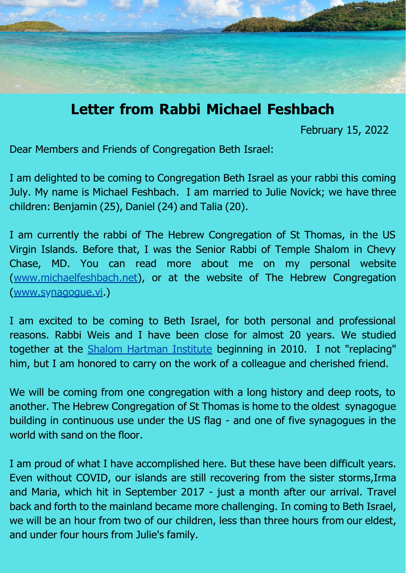

## **Letter from Rabbi Michael Feshbach**

February 15, 2022

Dear Members and Friends of Congregation Beth Israel:

I am delighted to be coming to Congregation Beth Israel as your rabbi this coming July. My name is Michael Feshbach. I am married to Julie Novick; we have three children: Benjamin (25), Daniel (24) and Talia (20).

I am currently the rabbi of The Hebrew Congregation of St Thomas, in the US Virgin Islands. Before that, I was the Senior Rabbi of Temple Shalom in Chevy Chase, MD. You can read more about me on my personal website [\(www.michaelfeshbach.net\)](http://www.michaelfeshbach.net/), or at the website of The Hebrew Congregation [\(www.synagogue.vi.](http://www.synagogue.vi/))

I am excited to be coming to Beth Israel, for both personal and professional reasons. Rabbi Weis and I have been close for almost 20 years. We studied together at the [Shalom Hartman Institute](https://www.hartman.org.il/) beginning in 2010. I not "replacing" him, but I am honored to carry on the work of a colleague and cherished friend.

We will be coming from one congregation with a long history and deep roots, to another. The Hebrew Congregation of St Thomas is home to the oldest synagogue building in continuous use under the US flag - and one of five synagogues in the world with sand on the floor.

I am proud of what I have accomplished here. But these have been difficult years. Even without COVID, our islands are still recovering from the sister storms,Irma and Maria, which hit in September 2017 - just a month after our arrival. Travel back and forth to the mainland became more challenging. In coming to Beth Israel, we will be an hour from two of our children, less than three hours from our eldest, and under four hours from Julie's family.